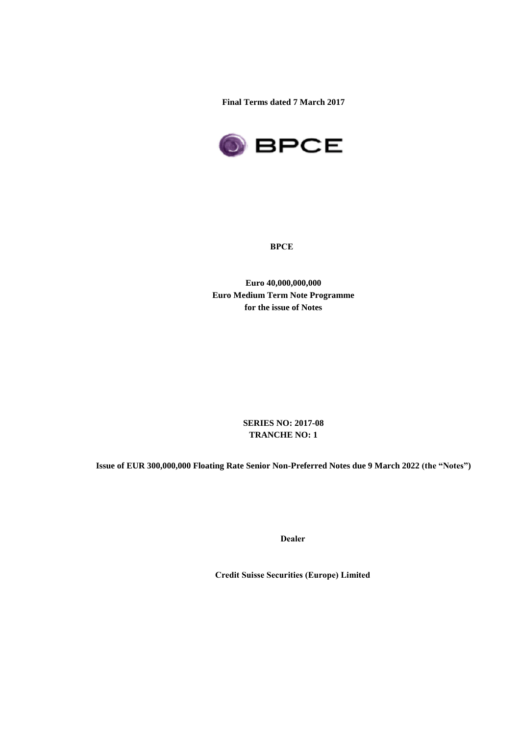**Final Terms dated 7 March 2017**



**BPCE**

**Euro 40,000,000,000 Euro Medium Term Note Programme for the issue of Notes**

> **SERIES NO: 2017-08 TRANCHE NO: 1**

**Issue of EUR 300,000,000 Floating Rate Senior Non-Preferred Notes due 9 March 2022 (the "Notes")**

**Dealer**

**Credit Suisse Securities (Europe) Limited**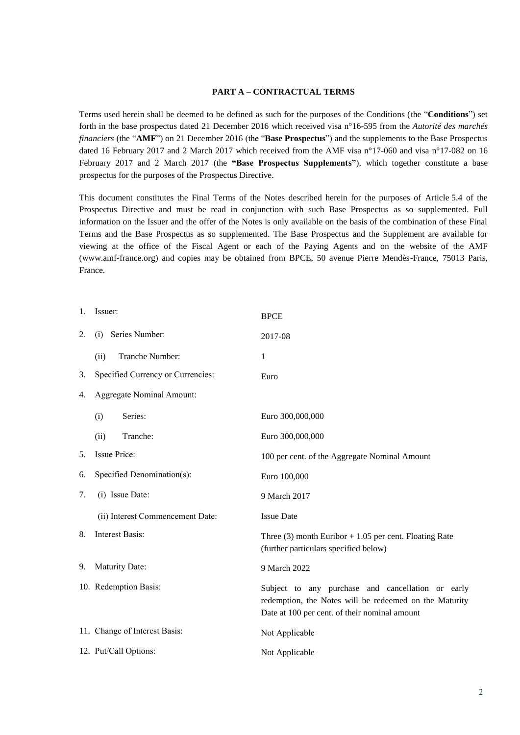### **PART A – CONTRACTUAL TERMS**

Terms used herein shall be deemed to be defined as such for the purposes of the Conditions (the "**Conditions**") set forth in the base prospectus dated 21 December 2016 which received visa n°16-595 from the *Autorité des marchés financiers* (the "**AMF**") on 21 December 2016 (the "**Base Prospectus**") and the supplements to the Base Prospectus dated 16 February 2017 and 2 March 2017 which received from the AMF visa n°17-060 and visa n°17-082 on 16 February 2017 and 2 March 2017 (the **"Base Prospectus Supplements"**), which together constitute a base prospectus for the purposes of the Prospectus Directive.

This document constitutes the Final Terms of the Notes described herein for the purposes of Article 5.4 of the Prospectus Directive and must be read in conjunction with such Base Prospectus as so supplemented. Full information on the Issuer and the offer of the Notes is only available on the basis of the combination of these Final Terms and the Base Prospectus as so supplemented. The Base Prospectus and the Supplement are available for viewing at the office of the Fiscal Agent or each of the Paying Agents and on the website of the AMF (www.amf-france.org) and copies may be obtained from BPCE, 50 avenue Pierre Mendès-France, 75013 Paris, France.

| 1. | Issuer:                           | <b>BPCE</b>                                                                                                                                                  |
|----|-----------------------------------|--------------------------------------------------------------------------------------------------------------------------------------------------------------|
| 2. | Series Number:<br>(i)             | 2017-08                                                                                                                                                      |
|    | Tranche Number:<br>(ii)           | 1                                                                                                                                                            |
| 3. | Specified Currency or Currencies: | Euro                                                                                                                                                         |
| 4. | <b>Aggregate Nominal Amount:</b>  |                                                                                                                                                              |
|    | Series:<br>(i)                    | Euro 300,000,000                                                                                                                                             |
|    | Tranche:<br>(ii)                  | Euro 300,000,000                                                                                                                                             |
| 5. | Issue Price:                      | 100 per cent. of the Aggregate Nominal Amount                                                                                                                |
| 6. | Specified Denomination(s):        | Euro 100,000                                                                                                                                                 |
| 7. | (i) Issue Date:                   | 9 March 2017                                                                                                                                                 |
|    | (ii) Interest Commencement Date:  | <b>Issue Date</b>                                                                                                                                            |
| 8. | <b>Interest Basis:</b>            | Three (3) month Euribor $+1.05$ per cent. Floating Rate<br>(further particulars specified below)                                                             |
| 9. | Maturity Date:                    | 9 March 2022                                                                                                                                                 |
|    | 10. Redemption Basis:             | Subject to any purchase and cancellation or early<br>redemption, the Notes will be redeemed on the Maturity<br>Date at 100 per cent. of their nominal amount |
|    | 11. Change of Interest Basis:     | Not Applicable                                                                                                                                               |
|    | 12. Put/Call Options:             | Not Applicable                                                                                                                                               |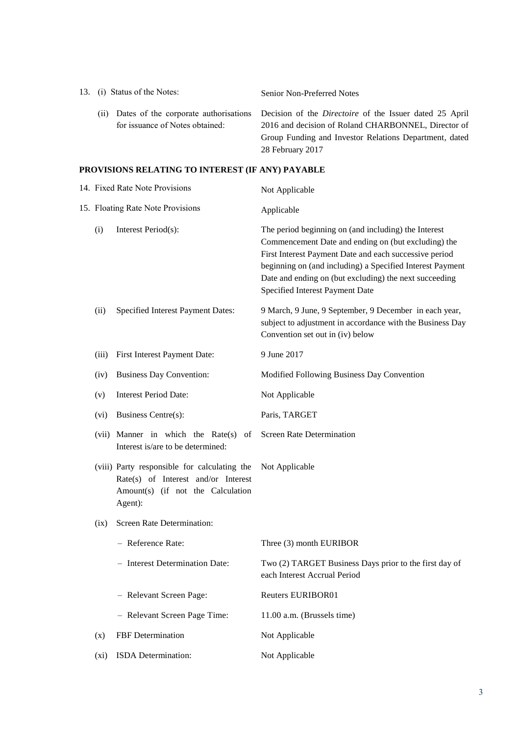| 13. (i) Status of the Notes: |                                 | Senior Non-Preferred Notes                                                                           |  |
|------------------------------|---------------------------------|------------------------------------------------------------------------------------------------------|--|
| (11)                         |                                 | Dates of the corporate authorisations Decision of the <i>Directoire</i> of the Issuer dated 25 April |  |
|                              | for issuance of Notes obtained: | 2016 and decision of Roland CHARBONNEL, Director of                                                  |  |
|                              |                                 | Group Funding and Investor Relations Department, dated                                               |  |
|                              |                                 | 28 February 2017                                                                                     |  |

# **PROVISIONS RELATING TO INTEREST (IF ANY) PAYABLE**

| 14. Fixed Rate Note Provisions |                                                                                                                                     | Not Applicable                                                                                                                                                                                                                                                                                                                  |  |
|--------------------------------|-------------------------------------------------------------------------------------------------------------------------------------|---------------------------------------------------------------------------------------------------------------------------------------------------------------------------------------------------------------------------------------------------------------------------------------------------------------------------------|--|
|                                | 15. Floating Rate Note Provisions                                                                                                   | Applicable                                                                                                                                                                                                                                                                                                                      |  |
| (i)                            | Interest Period(s):                                                                                                                 | The period beginning on (and including) the Interest<br>Commencement Date and ending on (but excluding) the<br>First Interest Payment Date and each successive period<br>beginning on (and including) a Specified Interest Payment<br>Date and ending on (but excluding) the next succeeding<br>Specified Interest Payment Date |  |
| (ii)                           | Specified Interest Payment Dates:                                                                                                   | 9 March, 9 June, 9 September, 9 December in each year,<br>subject to adjustment in accordance with the Business Day<br>Convention set out in (iv) below                                                                                                                                                                         |  |
| (iii)                          | First Interest Payment Date:                                                                                                        | 9 June 2017                                                                                                                                                                                                                                                                                                                     |  |
| (iv)                           | <b>Business Day Convention:</b>                                                                                                     | Modified Following Business Day Convention                                                                                                                                                                                                                                                                                      |  |
| (v)                            | <b>Interest Period Date:</b>                                                                                                        | Not Applicable                                                                                                                                                                                                                                                                                                                  |  |
| (vi)                           | Business Centre(s):                                                                                                                 | Paris, TARGET                                                                                                                                                                                                                                                                                                                   |  |
|                                | (vii) Manner in which the Rate(s) of<br>Interest is/are to be determined:                                                           | Screen Rate Determination                                                                                                                                                                                                                                                                                                       |  |
|                                | (viii) Party responsible for calculating the<br>Rate(s) of Interest and/or Interest<br>Amount(s) (if not the Calculation<br>Agent): | Not Applicable                                                                                                                                                                                                                                                                                                                  |  |
| (ix)                           | Screen Rate Determination:                                                                                                          |                                                                                                                                                                                                                                                                                                                                 |  |
|                                | - Reference Rate:                                                                                                                   | Three (3) month EURIBOR                                                                                                                                                                                                                                                                                                         |  |
|                                | - Interest Determination Date:                                                                                                      | Two (2) TARGET Business Days prior to the first day of<br>each Interest Accrual Period                                                                                                                                                                                                                                          |  |
|                                | - Relevant Screen Page:                                                                                                             | Reuters EURIBOR01                                                                                                                                                                                                                                                                                                               |  |
|                                | - Relevant Screen Page Time:                                                                                                        | 11.00 a.m. (Brussels time)                                                                                                                                                                                                                                                                                                      |  |
| (x)                            | FBF Determination                                                                                                                   | Not Applicable                                                                                                                                                                                                                                                                                                                  |  |
| (xi)                           | ISDA Determination:                                                                                                                 | Not Applicable                                                                                                                                                                                                                                                                                                                  |  |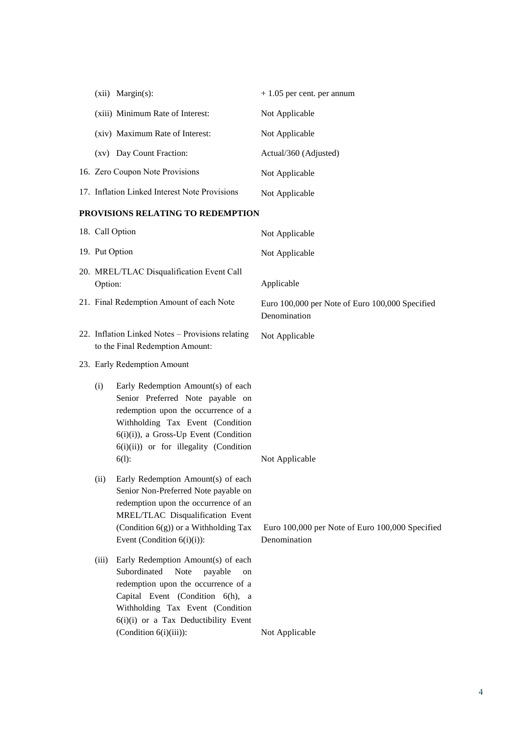| $(xii)$ Margin $(s)$ :                                                                                                                                                                                                                                    | $+1.05$ per cent. per annum                                     |  |
|-----------------------------------------------------------------------------------------------------------------------------------------------------------------------------------------------------------------------------------------------------------|-----------------------------------------------------------------|--|
| (xiii) Minimum Rate of Interest:                                                                                                                                                                                                                          | Not Applicable                                                  |  |
| (xiv) Maximum Rate of Interest:                                                                                                                                                                                                                           | Not Applicable                                                  |  |
| (xv) Day Count Fraction:                                                                                                                                                                                                                                  | Actual/360 (Adjusted)                                           |  |
| 16. Zero Coupon Note Provisions                                                                                                                                                                                                                           | Not Applicable                                                  |  |
| 17. Inflation Linked Interest Note Provisions                                                                                                                                                                                                             | Not Applicable                                                  |  |
| PROVISIONS RELATING TO REDEMPTION                                                                                                                                                                                                                         |                                                                 |  |
| 18. Call Option                                                                                                                                                                                                                                           | Not Applicable                                                  |  |
| 19. Put Option                                                                                                                                                                                                                                            | Not Applicable                                                  |  |
| 20. MREL/TLAC Disqualification Event Call<br>Option:                                                                                                                                                                                                      | Applicable                                                      |  |
| 21. Final Redemption Amount of each Note                                                                                                                                                                                                                  | Euro 100,000 per Note of Euro 100,000 Specified<br>Denomination |  |
| 22. Inflation Linked Notes - Provisions relating<br>to the Final Redemption Amount:                                                                                                                                                                       | Not Applicable                                                  |  |
| 23. Early Redemption Amount                                                                                                                                                                                                                               |                                                                 |  |
| Early Redemption Amount(s) of each<br>(i)<br>Senior Preferred Note payable on<br>redemption upon the occurrence of a<br>Withholding Tax Event (Condition<br>$6(i)(i)$ , a Gross-Up Event (Condition<br>6(i)(ii)) or for illegality (Condition<br>$6(1)$ : | Not Applicable                                                  |  |
| Early Redemption Amount(s) of each<br>(ii)<br>Senior Non-Preferred Note payable on<br>redemption upon the occurrence of an<br>MREL/TLAC Disqualification Event<br>(Condition 6(g)) or a Withholding Tax<br>Event (Condition $6(i)(i)$ ):                  | Euro 100,000 per Note of Euro 100,000 Specified<br>Denomination |  |
| Early Redemption Amount(s) of each<br>(iii)<br>Subordinated<br>Note<br>payable<br>on<br>redemption upon the occurrence of a<br>Capital Event (Condition 6(h), a<br>Withholding Tax Event (Condition<br>6(i)(i) or a Tax Deductibility Event               |                                                                 |  |

(Condition 6(i)(iii)): Not Applicable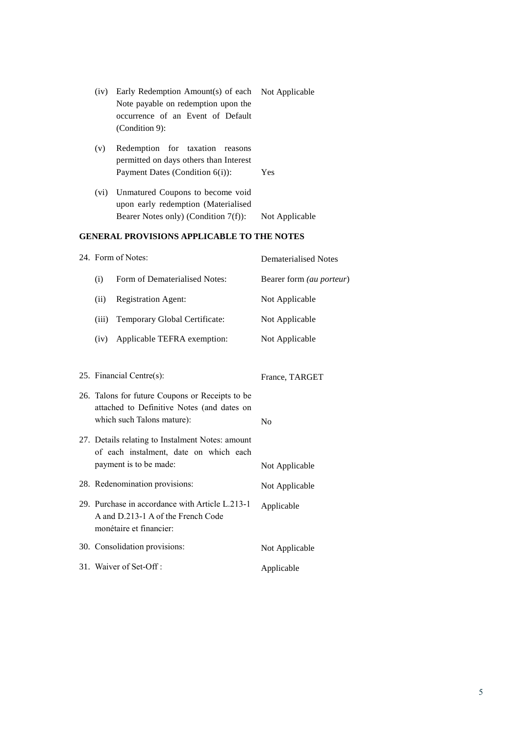| (iv) Early Redemption Amount(s) of each Not Applicable |  |
|--------------------------------------------------------|--|
| Note payable on redemption upon the                    |  |
| occurrence of an Event of Default                      |  |
| $(Condition 9)$ :                                      |  |

- (v) Redemption for taxation reasons permitted on days others than Interest Payment Dates (Condition 6(i)): Yes
- (vi) Unmatured Coupons to become void upon early redemption (Materialised Bearer Notes only) (Condition 7(f)): Not Applicable

## **GENERAL PROVISIONS APPLICABLE TO THE NOTES**

|                                                                                                                             | 24. Form of Notes:             | <b>Dematerialised Notes</b>      |
|-----------------------------------------------------------------------------------------------------------------------------|--------------------------------|----------------------------------|
| (i)                                                                                                                         | Form of Dematerialised Notes:  | Bearer form (au porteur)         |
| (ii)                                                                                                                        | <b>Registration Agent:</b>     | Not Applicable                   |
| (iii)                                                                                                                       | Temporary Global Certificate:  | Not Applicable                   |
| (iv)                                                                                                                        | Applicable TEFRA exemption:    | Not Applicable                   |
|                                                                                                                             | 25. Financial Centre(s):       | France, TARGET                   |
| 26. Talons for future Coupons or Receipts to be<br>attached to Definitive Notes (and dates on<br>which such Talons mature): |                                | N <sub>0</sub>                   |
| 27. Details relating to Instalment Notes: amount<br>of each instalment, date on which each<br>payment is to be made:        |                                |                                  |
|                                                                                                                             | 28. Redenomination provisions: | Not Applicable<br>Not Applicable |
| 29. Purchase in accordance with Article L.213-1<br>A and D.213-1 A of the French Code<br>monétaire et financier:            |                                | Applicable                       |
|                                                                                                                             | 30. Consolidation provisions:  | Not Applicable                   |
|                                                                                                                             | 31. Waiver of Set-Off:         | Applicable                       |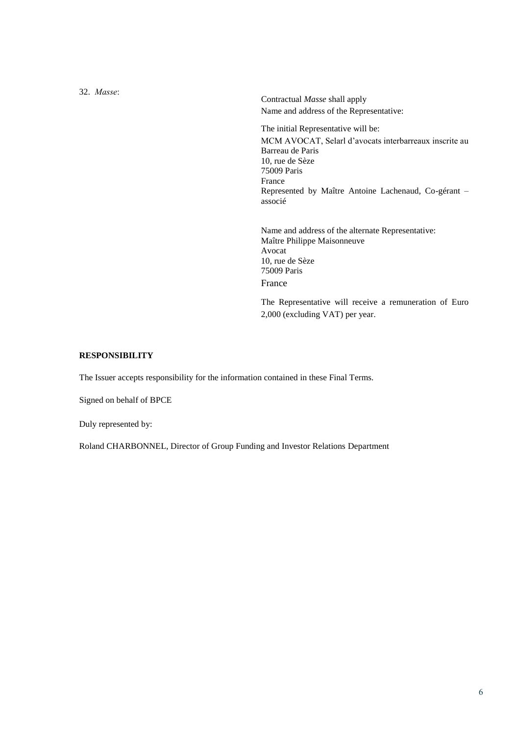32. *Masse*: Contractual *Masse* shall apply Name and address of the Representative: The initial Representative will be: MCM AVOCAT, Selarl d'avocats interbarreaux inscrite au Barreau de Paris 10, rue de Sèze 75009 Paris France Represented by Maître Antoine Lachenaud, Co-gérant – associé Name and address of the alternate Representative: Maître Philippe Maisonneuve Avocat 10, rue de Sèze 75009 Paris France

> The Representative will receive a remuneration of Euro 2,000 (excluding VAT) per year.

#### **RESPONSIBILITY**

The Issuer accepts responsibility for the information contained in these Final Terms.

Signed on behalf of BPCE

Duly represented by:

Roland CHARBONNEL, Director of Group Funding and Investor Relations Department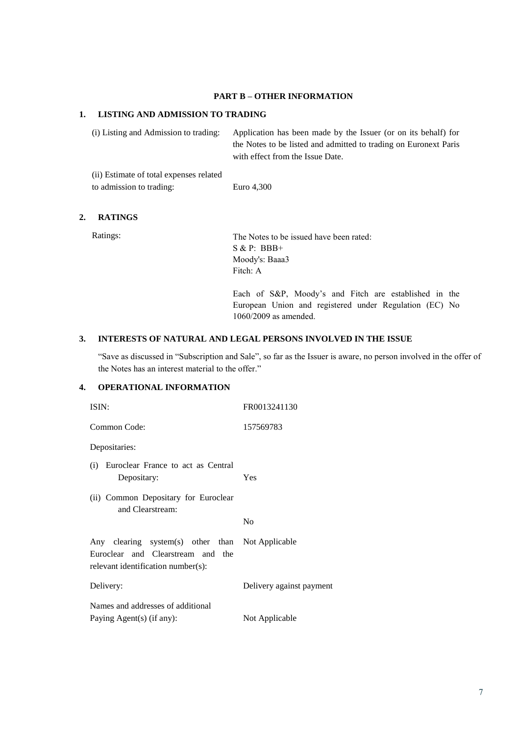#### **PART B – OTHER INFORMATION**

### **1. LISTING AND ADMISSION TO TRADING**

(i) Listing and Admission to trading: Application has been made by the Issuer (or on its behalf) for the Notes to be listed and admitted to trading on Euronext Paris with effect from the Issue Date.

(ii) Estimate of total expenses related to admission to trading: Euro 4,300

## **2. RATINGS**

Ratings: The Notes to be issued have been rated: S & P: BBB+ Moody's: Baaa3 Fitch: A

> Each of S&P, Moody's and Fitch are established in the European Union and registered under Regulation (EC) No 1060/2009 as amended.

### **3. INTERESTS OF NATURAL AND LEGAL PERSONS INVOLVED IN THE ISSUE**

"Save as discussed in "Subscription and Sale", so far as the Issuer is aware, no person involved in the offer of the Notes has an interest material to the offer."

## **4. OPERATIONAL INFORMATION**

| ISIN:                                                                                                                       | FR0013241130             |
|-----------------------------------------------------------------------------------------------------------------------------|--------------------------|
| Common Code:                                                                                                                | 157569783                |
| Depositaries:                                                                                                               |                          |
| Euroclear France to act as Central<br>(i)<br>Depositary:                                                                    | Yes                      |
| (ii) Common Depositary for Euroclear<br>and Clearstream:                                                                    |                          |
|                                                                                                                             | N <sub>0</sub>           |
| Any clearing system(s) other than Not Applicable<br>Euroclear and Clearstream and the<br>relevant identification number(s): |                          |
| Delivery:                                                                                                                   | Delivery against payment |
| Names and addresses of additional                                                                                           |                          |
| Paying Agent(s) (if any):                                                                                                   | Not Applicable           |